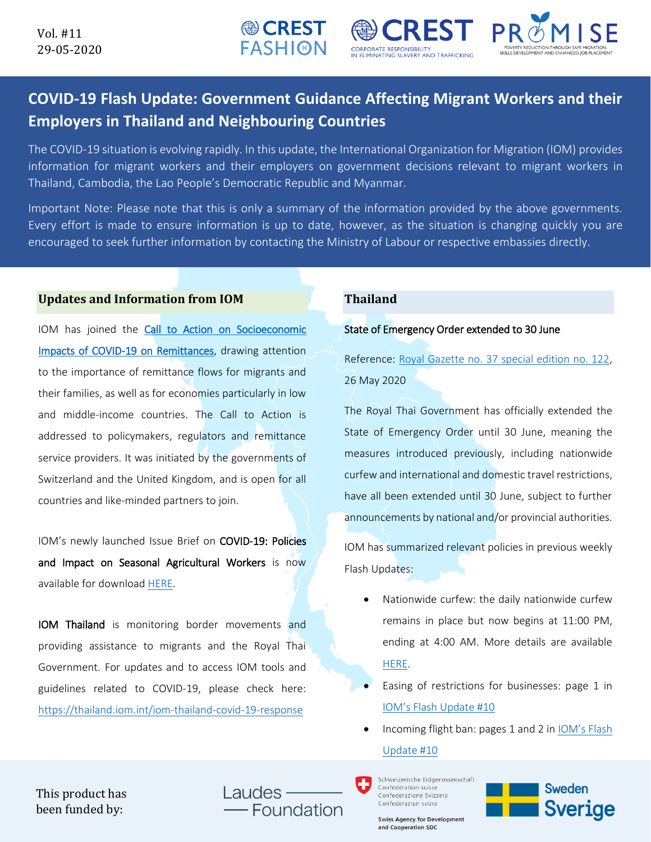

**● CREST FASHI@N** 

The COVID-19 situation is evolving rapidly. In this update, the International Organization for Migration (IOM) provides information for migrant workers and their employers on government decisions relevant to migrant workers in Thailand, Cambodia, the Lao People's Democratic Republic and Myanmar.

Important Note: Please note that this is only a summary of the information provided by the above governments. Every effort is made to ensure information is up to date, however, as the situation is changing quickly you are encouraged to seek further information by contacting the Ministry of Labour or respective embassies directly.

#### **Updates and Information from IOM**

IOM has joined the Call to Action on Socioeconomic [Impacts of COVID-19 on Remittances,](https://www.knomad.org/covid-19-remittances-call-to-action/?utm_source=Unknown+List&utm_campaign=cf910626cc-EMAIL_CAMPAIGN_2020_05_22_09_31&utm_medium=email&utm_term=0_-cf910626cc-#Context) drawing attention to the importance of remittance flows for migrants and their families, as well as for economies particularly in low and middle-income countries. The Call to Action is addressed to policymakers, regulators and remittance service providers. It was initiated by the governments of Switzerland and the United Kingdom, and is open for all countries and like-minded partners to join.

IOM's newly launched Issue Brief on COVID-19: Policies and Impact on Seasonal Agricultural Workers is now available for download [HERE.](https://www.iom.int/sites/default/files/documents/seasonal_agricultural_workers_27052020_0.pdf)

IOM Thailand is monitoring border movements and providing assistance to migrants and the Royal Thai Government. For updates and to access IOM tools and guidelines related to COVID-19, please check here: <https://thailand.iom.int/iom-thailand-covid-19-response>

### **Thailand**

#### State of Emergency Order extended to 30 June

**NOCREST** 

**INATING SLAVERY AND TRAFFICKIN** 

**CORPORATE RESPONSIBILITY** 

Reference: [Royal Gazette no. 37 special edition no. 122,](https://iomint-my.sharepoint.com/:f:/g/personal/yjiang_iom_int/EqRXrOxwbvNBhXJVc9XmGsMBgtaNwOwVzyQBoKMPI2JMww?e=Rh3Zdu) 26 May 2020

PROMISE

The Royal Thai Government has officially extended the State of Emergency Order until 30 June, meaning the measures introduced previously, including nationwide curfew and international and domestic travel restrictions, have all been extended until 30 June, subject to further announcements by national and/or provincial authorities.

IOM has summarized relevant policies in previous weekly Flash Updates:

- Nationwide curfew: the daily nationwide curfew remains in place but now begins at 11:00 PM, ending at 4:00 AM. More details are available [HERE.](https://iomint-my.sharepoint.com/:f:/g/personal/yjiang_iom_int/EqRXrOxwbvNBhXJVc9XmGsMBgtaNwOwVzyQBoKMPI2JMww?e=Rh3Zdu)
- Easing of restrictions for businesses: page 1 in [IOM's Flash Update #10](https://thailand.iom.int/sites/default/files/COVID19Response/22-05-2020%20IOM%20Flash%20Update%20on%20COVID-19%20for%20Migrant%20Workers%20in%20Thailand.pdf)
- Incoming flight ban: pages 1 and 2 in [IOM's Flash](https://thailand.iom.int/sites/default/files/COVID19Response/22-05-2020%20IOM%20Flash%20Update%20on%20COVID-19%20for%20Migrant%20Workers%20in%20Thailand.pdf)  [Update #10](https://thailand.iom.int/sites/default/files/COVID19Response/22-05-2020%20IOM%20Flash%20Update%20on%20COVID-19%20for%20Migrant%20Workers%20in%20Thailand.pdf)

Schweizerische Eidgenossenschaft Confédération suisse Confederazione Svizzera Confederaziun svizra

**Swiss Agency for Development** and Cooperation SDC



This product has been funded by:

Laudes Foundation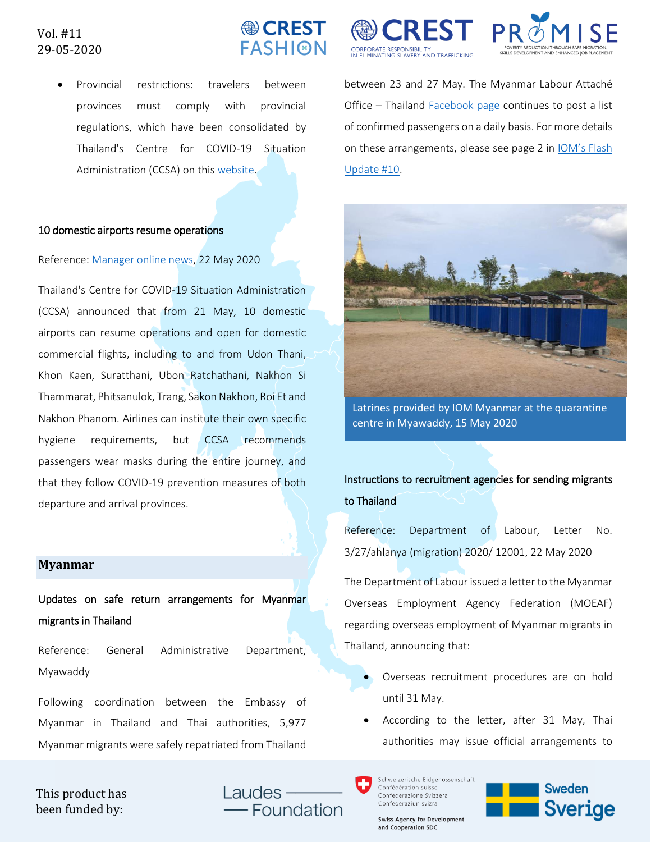## Vol. #11 29-05-2020

# **● CREST FASHION**

• Provincial restrictions: travelers between provinces must comply with provincial regulations, which have been consolidated by Thailand's Centre for COVID-19 Situation Administration (CCSA) on thi[s website.](http://www.moicovid.com/%E0%B8%9B%E0%B8%A3%E0%B8%B0%E0%B8%81%E0%B8%B2%E0%B8%A8-%E0%B8%84%E0%B8%B3%E0%B8%AA%E0%B8%B1%E0%B9%88%E0%B8%87%E0%B8%88%E0%B8%B1%E0%B8%87%E0%B8%AB%E0%B8%A7%E0%B8%B1%E0%B8%94/)

#### 10 domestic airports resume operations

#### Reference[: Manager online news,](https://mgronline.com/travel/detail/9630000053360) 22 May 2020

Thailand's Centre for COVID-19 Situation Administration (CCSA) announced that from 21 May, 10 domestic airports can resume operations and open for domestic commercial flights, including to and from Udon Thani, Khon Kaen, Suratthani, Ubon Ratchathani, Nakhon Si Thammarat, Phitsanulok, Trang, Sakon Nakhon, Roi Et and Nakhon Phanom. Airlines can institute their own specific hygiene requirements, but CCSA recommends passengers wear masks during the entire journey, and that they follow COVID-19 prevention measures of both departure and arrival provinces.

#### **Myanmar**

Updates on safe return arrangements for Myanmar migrants in Thailand

Reference: General Administrative Department, Myawaddy

Following coordination between the Embassy of Myanmar in Thailand and Thai authorities, 5,977 Myanmar migrants were safely repatriated from Thailand





between 23 and 27 May. The Myanmar Labour Attaché Office – Thailand **Facebook page continues to post a list** of confirmed passengers on a daily basis. For more details on these arrangements, please see page 2 in [IOM's Flash](https://thailand.iom.int/sites/default/files/COVID19Response/22-05-2020%20IOM%20Flash%20Update%20on%20COVID-19%20for%20Migrant%20Workers%20in%20Thailand.pdf)  [Update #10.](https://thailand.iom.int/sites/default/files/COVID19Response/22-05-2020%20IOM%20Flash%20Update%20on%20COVID-19%20for%20Migrant%20Workers%20in%20Thailand.pdf)



Latrines provided by IOM Myanmar at the quarantine centre in Myawaddy, 15 May 2020

# Instructions to recruitment agencies for sending migrants to Thailand

Reference: Department of Labour, Letter No. 3/27/ahlanya (migration) 2020/ 12001, 22 May 2020

The Department of Labour issued a letter to the Myanmar Overseas Employment Agency Federation (MOEAF) regarding overseas employment of Myanmar migrants in Thailand, announcing that:

- Overseas recruitment procedures are on hold until 31 May.
- According to the letter, after 31 May, Thai authorities may issue official arrangements to

Schweizerische Eidgenossenschaft Confédération suisse Confederazione Svizzera Confederaziun svizra

**Swiss Agency for Development** and Cooperation SDC



This product has been funded by:

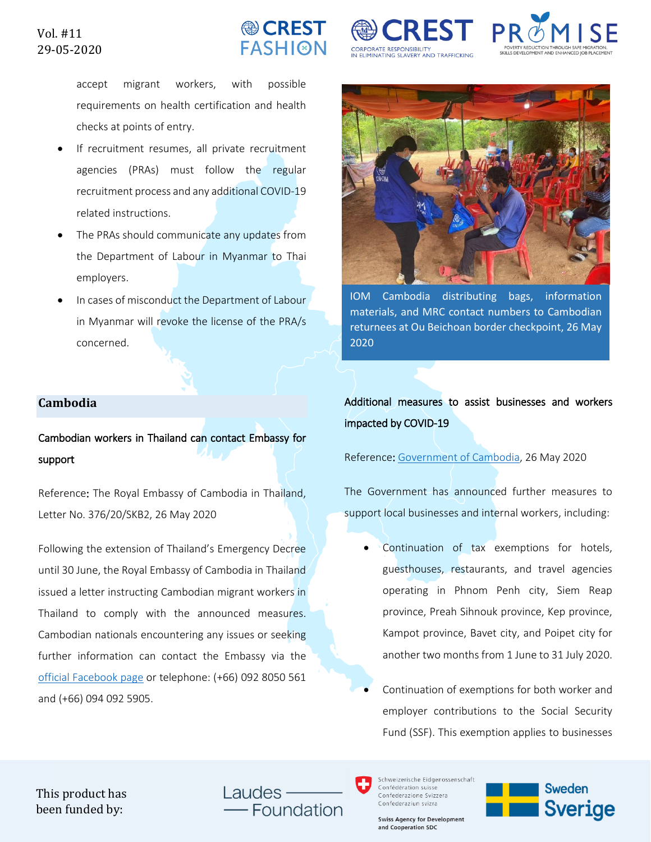

**CORPORATE RESPONSIBILITY** 

**V ELIMINATING SLAVERY AND TRAFFICKIN** 



accept migrant workers, with possible requirements on health certification and health checks at points of entry.

- If recruitment resumes, all private recruitment agencies (PRAs) must follow the regular recruitment process and any additional COVID-19 related instructions.
- The PRAs should communicate any updates from the Department of Labour in Myanmar to Thai employers.
- In cases of misconduct the Department of Labour in Myanmar will revoke the license of the PRA/s concerned.

### **Cambodia**

Cambodian workers in Thailand can contact Embassy for support

Reference: The Royal Embassy of Cambodia in Thailand, Letter No. 376/20/SKB2, 26 May 2020

Following the extension of Thailand's Emergency Decree until 30 June, the Royal Embassy of Cambodia in Thailand issued a letter instructing Cambodian migrant workers in Thailand to comply with the announced measures. Cambodian nationals encountering any issues or seeking further information can contact the Embassy via the [official Facebook page](https://www.facebook.com/ទីប្រឹក្សាទទួលបន្ទុកពលករប្រចាំប្រទេសថៃ-ที่ปรึกษาฝ่ายแรงงาน-ประจำประเทศไทย-1345836062185064/?epa=SEARCH_BOX) or telephone: (+66) 092 8050 561 and (+66) 094 092 5905.



IOM Cambodia distributing bags, information materials, and MRC contact numbers to Cambodian returnees at Ou Beichoan border checkpoint, 26 May 2020

Additional measures to assist businesses and workers impacted by COVID-19

Reference: [Government of Cambodia,](https://iomint-my.sharepoint.com/personal/yjiang_iom_int/_layouts/15/onedrive.aspx?id=%2Fpersonal%2Fyjiang%5Fiom%5Fint%2FDocuments%2FLHD%20COVID%20Flash%20Updates%2FOfficial%20announcements%20and%20refs%2FCambodia%2FGovernment%20of%20Cambodia%2FGovernment%20Plan%20during%20COVID19%5F27%2E5%2E2020&originalPath=aHR0cHM6Ly9pb21pbnQtbXkuc2hhcmVwb2ludC5jb20vOmY6L2cvcGVyc29uYWwveWppYW5nX2lvbV9pbnQvRWg4R2hQSl8xYUpJaWNjcjJVVWZOa2NCb2dwLTdtamM3Zkp4cHlfQjYxUHlIZz9ydGltZT1DbHBqY1ZMOTEwZw) 26 May 2020

The Government has announced further measures to support local businesses and internal workers, including:

- Continuation of tax exemptions for hotels, guesthouses, restaurants, and travel agencies operating in Phnom Penh city, Siem Reap province, Preah Sihnouk province, Kep province, Kampot province, Bavet city, and Poipet city for another two months from 1 June to 31 July 2020.
- Continuation of exemptions for both worker and employer contributions to the Social Security Fund (SSF). This exemption applies to businesses

This product has been funded by:

Laudes -Foundation



**Swiss Agency for Development** and Cooperation SDC

**Sweden Sverige**